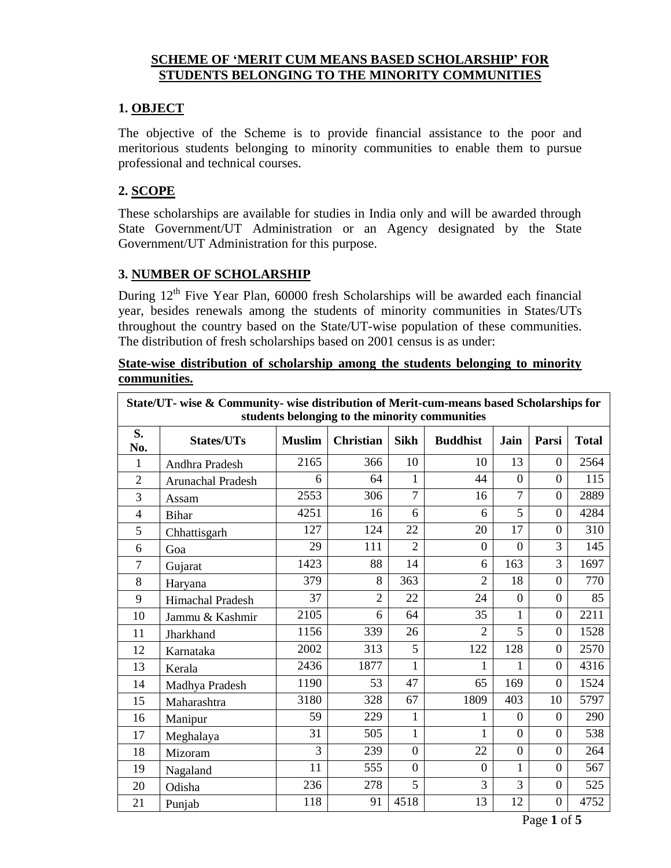#### **SCHEME OF 'MERIT CUM MEANS BASED SCHOLARSHIP' FOR STUDENTS BELONGING TO THE MINORITY COMMUNITIES**

# **1. OBJECT**

The objective of the Scheme is to provide financial assistance to the poor and meritorious students belonging to minority communities to enable them to pursue professional and technical courses.

# **2. SCOPE**

These scholarships are available for studies in India only and will be awarded through State Government/UT Administration or an Agency designated by the State Government/UT Administration for this purpose.

## **3. NUMBER OF SCHOLARSHIP**

During  $12<sup>th</sup>$  Five Year Plan, 60000 fresh Scholarships will be awarded each financial year, besides renewals among the students of minority communities in States/UTs throughout the country based on the State/UT-wise population of these communities. The distribution of fresh scholarships based on 2001 census is as under:

#### **State-wise distribution of scholarship among the students belonging to minority communities.**

| State/UT- wise & Community- wise distribution of Merit-cum-means based Scholarships for<br>students belonging to the minority communities |                          |               |                  |                |                 |                |                  |              |
|-------------------------------------------------------------------------------------------------------------------------------------------|--------------------------|---------------|------------------|----------------|-----------------|----------------|------------------|--------------|
| S.<br>No.                                                                                                                                 | <b>States/UTs</b>        | <b>Muslim</b> | <b>Christian</b> | <b>Sikh</b>    | <b>Buddhist</b> | Jain           | Parsi            | <b>Total</b> |
| $\mathbf{1}$                                                                                                                              | Andhra Pradesh           | 2165          | 366              | 10             | 10              | 13             | $\overline{0}$   | 2564         |
| $\overline{2}$                                                                                                                            | <b>Arunachal Pradesh</b> | 6             | 64               | $\mathbf{1}$   | 44              | $\overline{0}$ | $\overline{0}$   | 115          |
| 3                                                                                                                                         | Assam                    | 2553          | 306              | $\overline{7}$ | 16              | $\overline{7}$ | $\Omega$         | 2889         |
| $\overline{4}$                                                                                                                            | <b>Bihar</b>             | 4251          | 16               | 6              | 6               | 5              | $\Omega$         | 4284         |
| 5                                                                                                                                         | Chhattisgarh             | 127           | 124              | 22             | 20              | 17             | $\Omega$         | 310          |
| 6                                                                                                                                         | Goa                      | 29            | 111              | $\overline{2}$ | $\theta$        | $\Omega$       | 3                | 145          |
| $\overline{7}$                                                                                                                            | Gujarat                  | 1423          | 88               | 14             | 6               | 163            | 3                | 1697         |
| 8                                                                                                                                         | Haryana                  | 379           | 8                | 363            | $\overline{2}$  | 18             | $\overline{0}$   | 770          |
| 9                                                                                                                                         | Himachal Pradesh         | 37            | $\overline{2}$   | 22             | 24              | $\Omega$       | $\overline{0}$   | 85           |
| 10                                                                                                                                        | Jammu & Kashmir          | 2105          | 6                | 64             | 35              | 1              | $\overline{0}$   | 2211         |
| 11                                                                                                                                        | Jharkhand                | 1156          | 339              | 26             | $\overline{2}$  | 5              | $\overline{0}$   | 1528         |
| 12                                                                                                                                        | Karnataka                | 2002          | 313              | 5              | 122             | 128            | $\overline{0}$   | 2570         |
| 13                                                                                                                                        | Kerala                   | 2436          | 1877             | $\mathbf{1}$   | 1               | 1              | $\overline{0}$   | 4316         |
| 14                                                                                                                                        | Madhya Pradesh           | 1190          | 53               | 47             | 65              | 169            | $\boldsymbol{0}$ | 1524         |
| 15                                                                                                                                        | Maharashtra              | 3180          | 328              | 67             | 1809            | 403            | 10               | 5797         |
| 16                                                                                                                                        | Manipur                  | 59            | 229              | 1              |                 | $\Omega$       | $\Omega$         | 290          |
| 17                                                                                                                                        | Meghalaya                | 31            | 505              | $\mathbf{1}$   | 1               | $\Omega$       | $\Omega$         | 538          |
| 18                                                                                                                                        | Mizoram                  | 3             | 239              | $\overline{0}$ | 22              | $\theta$       | $\overline{0}$   | 264          |
| 19                                                                                                                                        | Nagaland                 | 11            | 555              | $\overline{0}$ | $\theta$        | 1              | $\overline{0}$   | 567          |
| 20                                                                                                                                        | Odisha                   | 236           | 278              | 5              | 3               | 3              | $\overline{0}$   | 525          |
| 21                                                                                                                                        | Punjab                   | 118           | 91               | 4518           | 13              | 12             | $\theta$         | 4752         |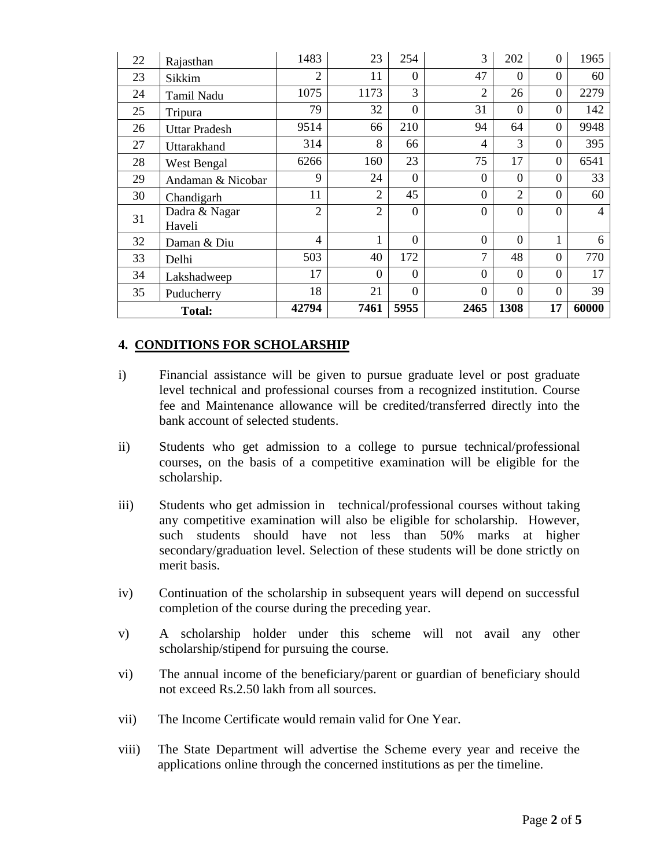| 22            | Rajasthan         | 1483           | 23             | 254            | 3                | 202            | $\Omega$       | 1965  |
|---------------|-------------------|----------------|----------------|----------------|------------------|----------------|----------------|-------|
| 23            | Sikkim            | $\overline{2}$ | 11             | $\Omega$       | 47               | $\Omega$       | $\Omega$       | 60    |
| 24            | Tamil Nadu        | 1075           | 1173           | 3              | 2                | 26             | $\theta$       | 2279  |
| 25            | Tripura           | 79             | 32             | $\Omega$       | 31               | $\Omega$       | $\theta$       | 142   |
| 26            | Uttar Pradesh     | 9514           | 66             | 210            | 94               | 64             | $\overline{0}$ | 9948  |
| 27            | Uttarakhand       | 314            | 8              | 66             | 4                | 3              | $\overline{0}$ | 395   |
| 28            | West Bengal       | 6266           | 160            | 23             | 75               | 17             | $\Omega$       | 6541  |
| 29            | Andaman & Nicobar | 9              | 24             | $\overline{0}$ | $\boldsymbol{0}$ | $\Omega$       | $\Omega$       | 33    |
| 30            | Chandigarh        | 11             | $\overline{2}$ | 45             | $\overline{0}$   | 2              | $\Omega$       | 60    |
| 31            | Dadra & Nagar     | $\overline{c}$ | $\overline{2}$ | $\theta$       | $\overline{0}$   | $\Omega$       | $\overline{0}$ | 4     |
|               | Haveli            |                |                |                |                  |                |                |       |
| 32            | Daman & Diu       | 4              | 1              | $\theta$       | $\overline{0}$   | $\Omega$       | 1              | 6     |
| 33            | Delhi             | 503            | 40             | 172            | 7                | 48             | $\theta$       | 770   |
| 34            | Lakshadweep       | 17             | $\theta$       | $\Omega$       | $\overline{0}$   | $\Omega$       | $\Omega$       | 17    |
| 35            | Puducherry        | 18             | 21             | $\overline{0}$ | $\overline{0}$   | $\overline{0}$ | $\theta$       | 39    |
| <b>Total:</b> |                   | 42794          | 7461           | 5955           | 2465             | 1308           | 17             | 60000 |

#### **4. CONDITIONS FOR SCHOLARSHIP**

- i) Financial assistance will be given to pursue graduate level or post graduate level technical and professional courses from a recognized institution. Course fee and Maintenance allowance will be credited/transferred directly into the bank account of selected students.
- ii) Students who get admission to a college to pursue technical/professional courses, on the basis of a competitive examination will be eligible for the scholarship.
- iii) Students who get admission in technical/professional courses without taking any competitive examination will also be eligible for scholarship. However, such students should have not less than 50% marks at higher secondary/graduation level. Selection of these students will be done strictly on merit basis.
- iv) Continuation of the scholarship in subsequent years will depend on successful completion of the course during the preceding year.
- v) A scholarship holder under this scheme will not avail any other scholarship/stipend for pursuing the course.
- vi) The annual income of the beneficiary/parent or guardian of beneficiary should not exceed Rs.2.50 lakh from all sources.
- vii) The Income Certificate would remain valid for One Year.
- viii) The State Department will advertise the Scheme every year and receive the applications online through the concerned institutions as per the timeline.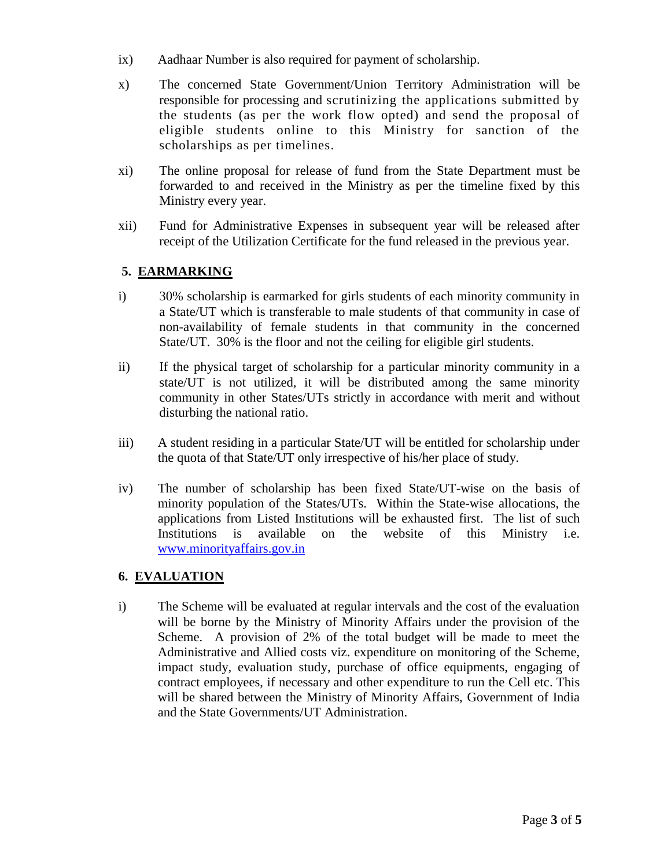- ix) Aadhaar Number is also required for payment of scholarship.
- x) The concerned State Government/Union Territory Administration will be responsible for processing and scrutinizing the applications submitted by the students (as per the work flow opted) and send the proposal of eligible students online to this Ministry for sanction of the scholarships as per timelines.
- xi) The online proposal for release of fund from the State Department must be forwarded to and received in the Ministry as per the timeline fixed by this Ministry every year.
- xii) Fund for Administrative Expenses in subsequent year will be released after receipt of the Utilization Certificate for the fund released in the previous year.

## **5. EARMARKING**

- i) 30% scholarship is earmarked for girls students of each minority community in a State/UT which is transferable to male students of that community in case of non-availability of female students in that community in the concerned State/UT. 30% is the floor and not the ceiling for eligible girl students.
- ii) If the physical target of scholarship for a particular minority community in a state/UT is not utilized, it will be distributed among the same minority community in other States/UTs strictly in accordance with merit and without disturbing the national ratio.
- iii) A student residing in a particular State/UT will be entitled for scholarship under the quota of that State/UT only irrespective of his/her place of study.
- iv) The number of scholarship has been fixed State/UT-wise on the basis of minority population of the States/UTs. Within the State-wise allocations, the applications from Listed Institutions will be exhausted first. The list of such Institutions is available on the website of this Ministry i.e. [www.minorityaffairs.gov.in](http://www.minorityaffairs.gov.in/)

## **6. EVALUATION**

i) The Scheme will be evaluated at regular intervals and the cost of the evaluation will be borne by the Ministry of Minority Affairs under the provision of the Scheme. A provision of 2% of the total budget will be made to meet the Administrative and Allied costs viz. expenditure on monitoring of the Scheme, impact study, evaluation study, purchase of office equipments, engaging of contract employees, if necessary and other expenditure to run the Cell etc. This will be shared between the Ministry of Minority Affairs, Government of India and the State Governments/UT Administration.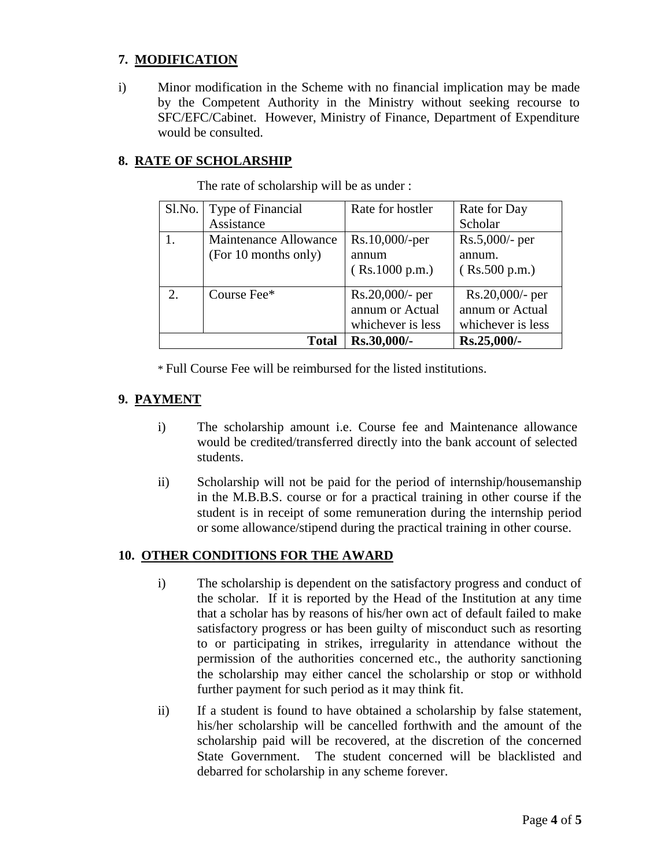## **7. MODIFICATION**

i) Minor modification in the Scheme with no financial implication may be made by the Competent Authority in the Ministry without seeking recourse to SFC/EFC/Cabinet. However, Ministry of Finance, Department of Expenditure would be consulted.

#### **8. RATE OF SCHOLARSHIP**

| Sl.No. | Type of Financial     | Rate for hostler   | Rate for Day       |
|--------|-----------------------|--------------------|--------------------|
|        | Assistance            |                    | Scholar            |
|        | Maintenance Allowance | $Rs.10,000/-per$   | $Rs.5,000/$ - per  |
|        | (For 10 months only)  | annum              | annum.             |
|        |                       | (Rs.1000 p.m.)     | (Rs.500 p.m.)      |
| 2.     | Course Fee*           | $Rs.20,000/$ - per | $Rs.20,000/$ - per |
|        |                       | annum or Actual    | annum or Actual    |
|        |                       | whichever is less  | whichever is less  |
|        | <b>Total</b>          | Rs.30,000/-        | Rs.25,000/-        |

The rate of scholarship will be as under :

\* Full Course Fee will be reimbursed for the listed institutions.

## **9. PAYMENT**

- i) The scholarship amount i.e. Course fee and Maintenance allowance would be credited/transferred directly into the bank account of selected students.
- ii) Scholarship will not be paid for the period of internship/housemanship in the M.B.B.S. course or for a practical training in other course if the student is in receipt of some remuneration during the internship period or some allowance/stipend during the practical training in other course.

#### **10. OTHER CONDITIONS FOR THE AWARD**

- i) The scholarship is dependent on the satisfactory progress and conduct of the scholar. If it is reported by the Head of the Institution at any time that a scholar has by reasons of his/her own act of default failed to make satisfactory progress or has been guilty of misconduct such as resorting to or participating in strikes, irregularity in attendance without the permission of the authorities concerned etc., the authority sanctioning the scholarship may either cancel the scholarship or stop or withhold further payment for such period as it may think fit.
- ii) If a student is found to have obtained a scholarship by false statement, his/her scholarship will be cancelled forthwith and the amount of the scholarship paid will be recovered, at the discretion of the concerned State Government. The student concerned will be blacklisted and debarred for scholarship in any scheme forever.